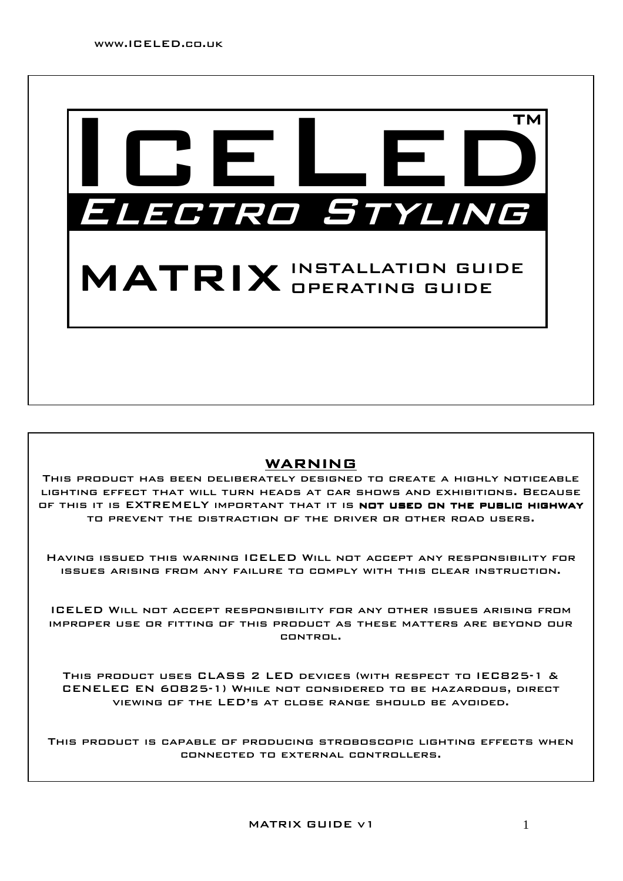

### WARNING

This product has been deliberately designed to create a highly noticeable lighting effect that will turn heads at car shows and exhibitions. Because OF THIS IT IS EXTREMELY IMPORTANT THAT IT IS **NOT USED ON THE PUBLIC HIGHWAY** to prevent the distraction of the driver or other road users.

Having issued this warning ICELED Will not accept any responsibility for issues arising from any failure to comply with this clear instruction.

ICELED Will not accept responsibility for any other issues arising from improper use or fitting of this product as these matters are beyond our control.

This product uses CLASS 2 LED devices (with respect to IEC825-1 & CENELEC EN 60825-1) While not considered to be hazardous, direct viewing of the LED's at close range should be avoided.

This product is capable of producing stroboscopic lighting effects when connected to external controllers.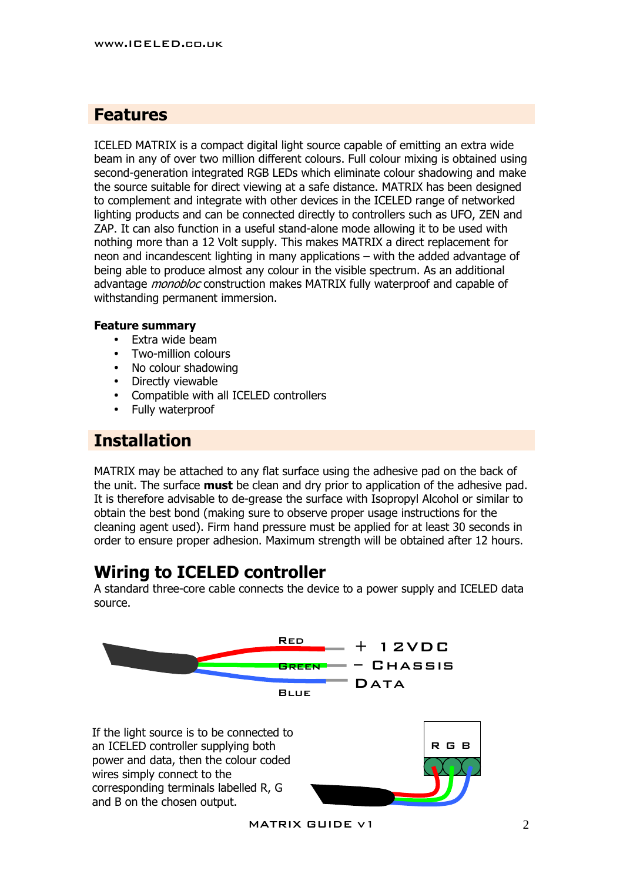### **Features**

ICELED MATRIX is a compact digital light source capable of emitting an extra wide beam in any of over two million different colours. Full colour mixing is obtained using second-generation integrated RGB LEDs which eliminate colour shadowing and make the source suitable for direct viewing at a safe distance. MATRIX has been designed to complement and integrate with other devices in the ICELED range of networked lighting products and can be connected directly to controllers such as UFO, ZEN and ZAP. It can also function in a useful stand-alone mode allowing it to be used with nothing more than a 12 Volt supply. This makes MATRIX a direct replacement for neon and incandescent lighting in many applications – with the added advantage of being able to produce almost any colour in the visible spectrum. As an additional advantage *monobloc* construction makes MATRIX fully waterproof and capable of withstanding permanent immersion.

#### **Feature summary**

- Extra wide beam
- Two-million colours
- No colour shadowing
- Directly viewable
- Compatible with all ICELED controllers
- Fully waterproof

## **Installation**

MATRIX may be attached to any flat surface using the adhesive pad on the back of the unit. The surface **must** be clean and dry prior to application of the adhesive pad. It is therefore advisable to de-grease the surface with Isopropyl Alcohol or similar to obtain the best bond (making sure to observe proper usage instructions for the cleaning agent used). Firm hand pressure must be applied for at least 30 seconds in order to ensure proper adhesion. Maximum strength will be obtained after 12 hours.

## **Wiring to ICELED controller**

A standard three-core cable connects the device to a power supply and ICELED data source.





MATRIX GUIDE  $v1$  2

R G B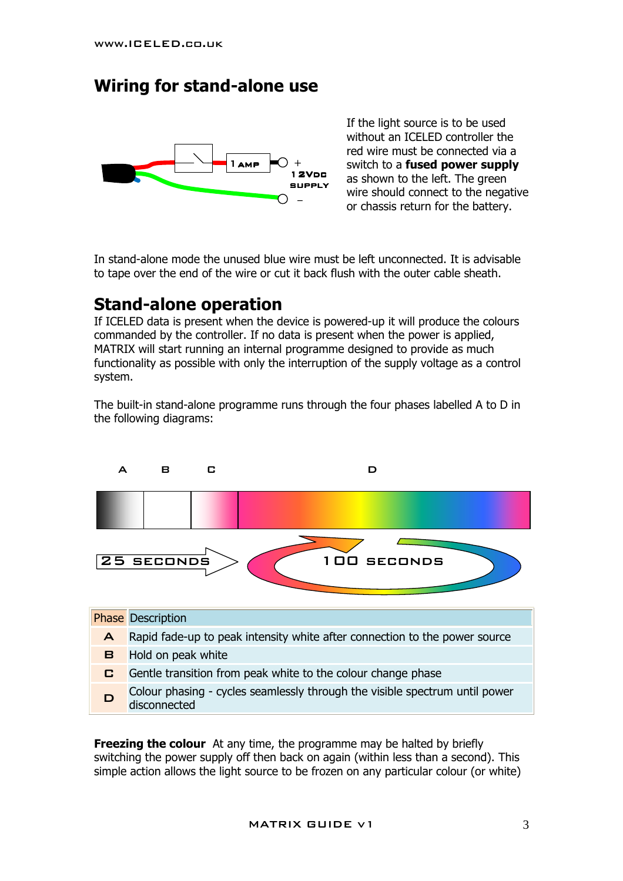## **Wiring for stand-alone use**



If the light source is to be used without an ICELED controller the red wire must be connected via a switch to a **fused power supply**  as shown to the left. The green wire should connect to the negative or chassis return for the battery.

In stand-alone mode the unused blue wire must be left unconnected. It is advisable to tape over the end of the wire or cut it back flush with the outer cable sheath.

# **Stand-alone operation**

If ICELED data is present when the device is powered-up it will produce the colours commanded by the controller. If no data is present when the power is applied, MATRIX will start running an internal programme designed to provide as much functionality as possible with only the interruption of the supply voltage as a control system.

The built-in stand-alone programme runs through the four phases labelled A to D in the following diagrams:



**Freezing the colour** At any time, the programme may be halted by briefly switching the power supply off then back on again (within less than a second). This simple action allows the light source to be frozen on any particular colour (or white)